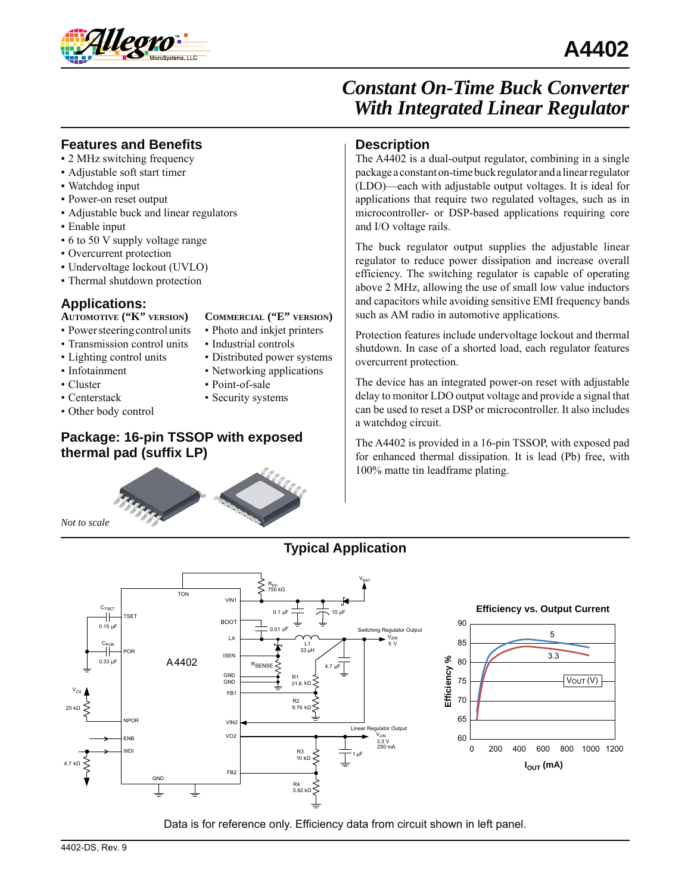

### **Features and Benefits**

- 2 MHz switching frequency
- Adjustable soft start timer
- Watchdog input
- Power-on reset output
- Adjustable buck and linear regulators
- Enable input
- 6 to 50 V supply voltage range
- Overcurrent protection
- Undervoltage lockout (UVLO)
- Thermal shutdown protection

## **Applications:**

### **AUTOMOTIVE ("K" VERSION)**

- Power steering control units
- Transmission control units
- Lighting control units
- Infotainment
- Cluster
- Centerstack
- Other body control
- **COMMERCIAL ("E" VERSION)**
- Photo and inkjet printers
- Industrial controls
- Distributed power systems
- Networking applications
- Point-of-sale
- Security systems

## **Package: 16-pin TSSOP with exposed thermal pad (suffix LP)**



### **Description**

The A4402 is a dual-output regulator, combining in a single package a constant on-time buck regulator and a linear regulator (LDO)—each with adjustable output voltages. It is ideal for applications that require two regulated voltages, such as in microcontroller- or DSP-based applications requiring core and I/O voltage rails.

The buck regulator output supplies the adjustable linear regulator to reduce power dissipation and increase overall efficiency. The switching regulator is capable of operating above 2 MHz, allowing the use of small low value inductors and capacitors while avoiding sensitive EMI frequency bands such as AM radio in automotive applications.

Protection features include undervoltage lockout and thermal shutdown. In case of a shorted load, each regulator features overcurrent protection.

The device has an integrated power-on reset with adjustable delay to monitor LDO output voltage and provide a signal that can be used to reset a DSP or microcontroller. It also includes a watchdog circuit.

The A4402 is provided in a 16-pin TSSOP, with exposed pad for enhanced thermal dissipation. It is lead (Pb) free, with 100% matte tin leadframe plating.

### **Typical Application**



Data is for reference only. Efficiency data from circuit shown in left panel.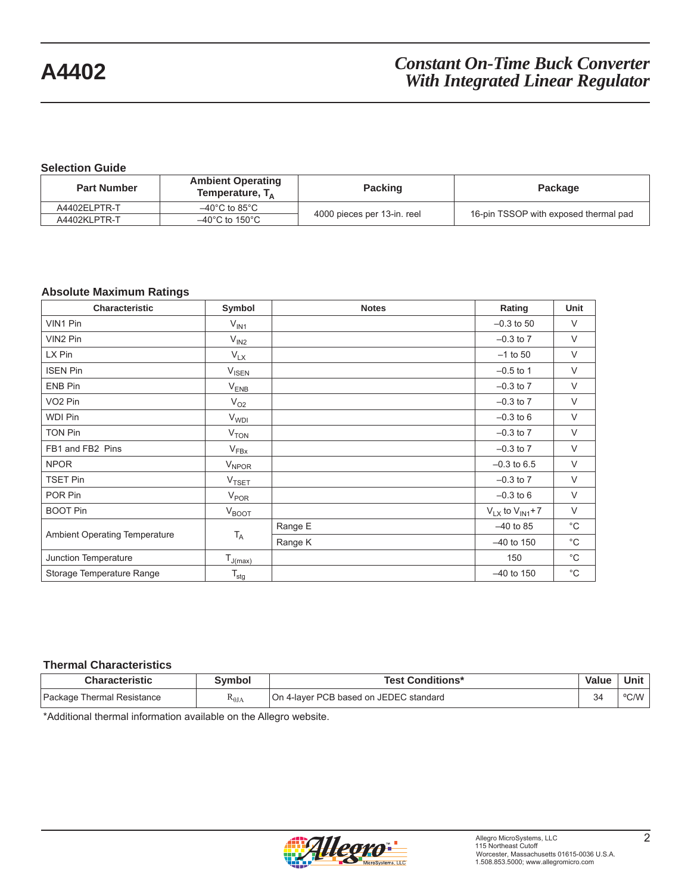### **Selection Guide**

| <b>Part Number</b> | <b>Ambient Operating</b><br>Temperature, $T_A$ | <b>Packing</b>              | Package                               |
|--------------------|------------------------------------------------|-----------------------------|---------------------------------------|
| A4402ELPTR-T       | $-40^{\circ}$ C to 85 $^{\circ}$ C             |                             |                                       |
| A4402KLPTR-T       | $-40^{\circ}$ C to 150 $^{\circ}$ C            | 4000 pieces per 13-in. reel | 16-pin TSSOP with exposed thermal pad |

### **Absolute Maximum Ratings**

| <b>Characteristic</b>         | Symbol                  | <b>Notes</b> | Rating                  | Unit         |
|-------------------------------|-------------------------|--------------|-------------------------|--------------|
| VIN1 Pin                      | $V_{IN1}$               |              | $-0.3$ to 50            | $\vee$       |
| VIN2 Pin                      | $V_{IN2}$               |              | $-0.3$ to $7$           | $\vee$       |
| LX Pin                        | $V_{LX}$                |              | $-1$ to 50              | $\vee$       |
| <b>ISEN Pin</b>               | $V_{\text{ISEN}}$       |              | $-0.5$ to 1             | $\vee$       |
| ENB Pin                       | $V_{ENB}$               |              | $-0.3$ to $7$           | $\vee$       |
| VO <sub>2</sub> Pin           | $V_{O2}$                |              | $-0.3$ to $7$           | V            |
| <b>WDI Pin</b>                | <b>V<sub>WDI</sub></b>  |              | $-0.3$ to 6             | V            |
| <b>TON Pin</b>                | V <sub>TON</sub>        |              | $-0.3$ to $7$           | $\vee$       |
| FB1 and FB2 Pins              | $V_{FBx}$               |              | $-0.3$ to $7$           | $\vee$       |
| <b>NPOR</b>                   | <b>V<sub>NPOR</sub></b> |              | $-0.3$ to 6.5           | V            |
| <b>TSET Pin</b>               | <b>V<sub>TSET</sub></b> |              | $-0.3$ to $7$           | $\vee$       |
| POR Pin                       | $V_{\text{POR}}$        |              | $-0.3$ to 6             | $\vee$       |
| <b>BOOT Pin</b>               | $V_{BOOT}$              |              | $V_{LX}$ to $V_{IN1}+7$ | $\vee$       |
|                               |                         | Range E      | $-40$ to 85             | $^{\circ}$ C |
| Ambient Operating Temperature | $T_A$                   | Range K      | $-40$ to 150            | $^{\circ}$ C |
| Junction Temperature          | $T_{J(max)}$            |              | 150                     | $^{\circ}$ C |
| Storage Temperature Range     | $T_{\text{stg}}$        |              | $-40$ to 150            | $^{\circ}$ C |

#### **Thermal Characteristics**

| Characteristic             | Svmbol          | <b>Test Conditions*</b>                | <b>Value</b> | Unit                        |
|----------------------------|-----------------|----------------------------------------|--------------|-----------------------------|
| Package Thermal Resistance | $R_{\theta JA}$ | On 4-layer PCB based on JEDEC standard | 34           | $0$ $0$ $N$ $N$ $l$<br>◡៸៴៴ |

\*Additional thermal information available on the Allegro website.

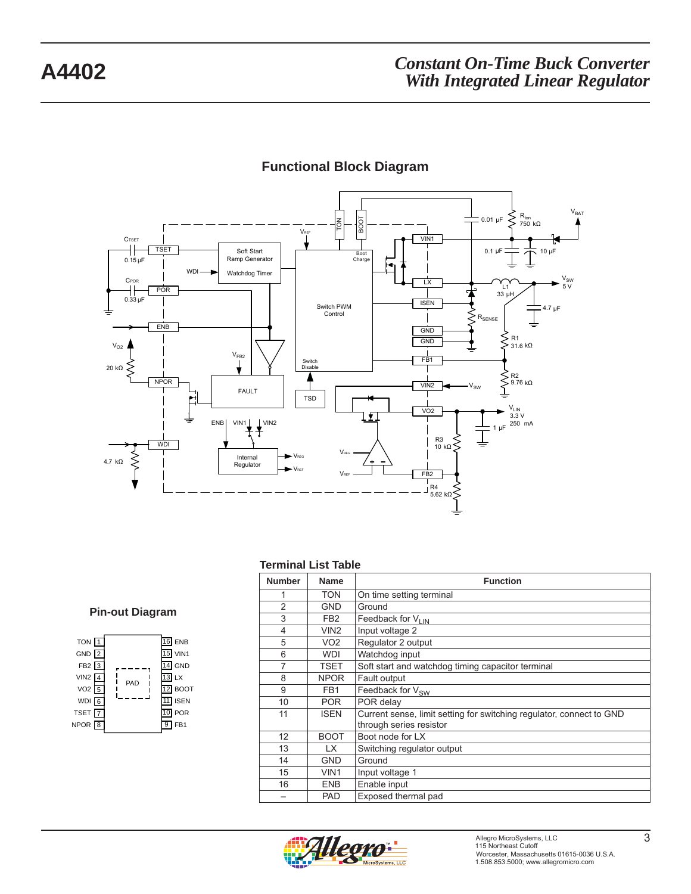

## **Functional Block Diagram**

#### **Terminal List Table**

#### **Pin-out Diagram**

| TON <sub>1</sub><br>GND $\sqrt{2}$<br>FB <sub>2</sub> $\sqrt{3}$<br>VIN <sub>2</sub><br>VO2<br>$\overline{5}$<br>$WDI$ 6<br>TSET <sub>[7</sub><br>$NPOR$ <sup>8</sup> | PAD | $16$ ENB<br>$15$ VIN1<br>GND<br><b>LX</b><br>1 воот<br><b>ISEN</b><br>POR<br>FB1 |
|-----------------------------------------------------------------------------------------------------------------------------------------------------------------------|-----|----------------------------------------------------------------------------------|
|-----------------------------------------------------------------------------------------------------------------------------------------------------------------------|-----|----------------------------------------------------------------------------------|

| <b>Number</b>  | <b>Name</b>      | <b>Function</b>                                                                                 |
|----------------|------------------|-------------------------------------------------------------------------------------------------|
| 1              | <b>TON</b>       | On time setting terminal                                                                        |
| $\overline{2}$ | <b>GND</b>       | Ground                                                                                          |
| 3              | FB <sub>2</sub>  | Feedback for VLIN                                                                               |
| 4              | VIN <sub>2</sub> | Input voltage 2                                                                                 |
| 5              | VO <sub>2</sub>  | Regulator 2 output                                                                              |
| 6              | <b>WDI</b>       | Watchdog input                                                                                  |
| 7              | TSET             | Soft start and watchdog timing capacitor terminal                                               |
| 8              | <b>NPOR</b>      | Fault output                                                                                    |
| 9              | FB1              | Feedback for V <sub>SW</sub>                                                                    |
| 10             | <b>POR</b>       | POR delay                                                                                       |
| 11             | <b>ISEN</b>      | Current sense, limit setting for switching regulator, connect to GND<br>through series resistor |
| 12             | <b>BOOT</b>      | Boot node for LX                                                                                |
| 13             | LX.              | Switching regulator output                                                                      |
| 14             | <b>GND</b>       | Ground                                                                                          |
| 15             | VIN <sub>1</sub> | Input voltage 1                                                                                 |
| 16             | <b>ENB</b>       | Enable input                                                                                    |
|                | <b>PAD</b>       | Exposed thermal pad                                                                             |

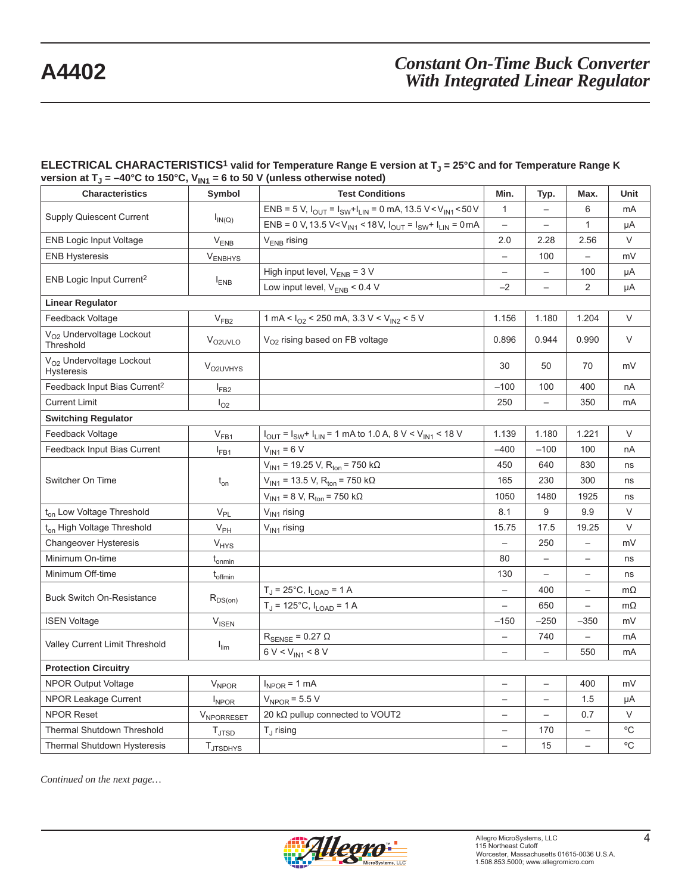#### ELECTRICAL CHARACTERISTICS<sup>1</sup> valid for Temperature Range E version at T<sub>J</sub> = 25°C and for Temperature Range K version at T<sub>J</sub> = –40°C to 150°C, V<sub>IN1</sub> = 6 to 50 V (unless otherwise noted)

| <b>Characteristics</b>                                    | Symbol                      | <b>Test Conditions</b>                                                                                   | Min.                     | Typ.                     | Max.                     | Unit         |
|-----------------------------------------------------------|-----------------------------|----------------------------------------------------------------------------------------------------------|--------------------------|--------------------------|--------------------------|--------------|
|                                                           |                             | ENB = 5 V, $I_{OUT} = I_{SW} + I_{LIN} = 0$ mA, 13.5 V < V <sub>IN1</sub> < 50 V                         | $\mathbf{1}$             |                          | 6                        | mA           |
| Supply Quiescent Current<br>$I_{IN(Q)}$                   |                             | ENB = 0 V, 13.5 V <v<sub>IN1 &lt; 18V, <math>I_{OUT} = I_{SW} + I_{LIN} = 0</math> mA</v<sub>            | $\overline{\phantom{m}}$ | $\overline{\phantom{0}}$ | $\mathbf{1}$             | μA           |
| <b>ENB Logic Input Voltage</b>                            | $\mathsf{V}_{\mathsf{ENB}}$ | $V_{ENB}$ rising                                                                                         | 2.0                      | 2.28                     | 2.56                     | V            |
| <b>ENB Hysteresis</b>                                     | $V_{ENBHYS}$                |                                                                                                          | $\overline{\phantom{0}}$ | 100                      | $\overline{\phantom{0}}$ | mV           |
|                                                           |                             | High input level, $V_{ENB} = 3 V$                                                                        | $\qquad \qquad -$        | $\overline{\phantom{0}}$ | 100                      | μA           |
| ENB Logic Input Current <sup>2</sup>                      | $I_{ENB}$                   | Low input level, $V_{ENB}$ < 0.4 V                                                                       | $-2$                     | $\overline{\phantom{0}}$ | 2                        | μA           |
| <b>Linear Regulator</b>                                   |                             |                                                                                                          |                          |                          |                          |              |
| Feedback Voltage                                          | V <sub>FB2</sub>            | 1 mA < $I_{O2}$ < 250 mA, 3.3 V < $V_{IN2}$ < 5 V                                                        | 1.156                    | 1.180                    | 1.204                    | V            |
| V <sub>O2</sub> Undervoltage Lockout<br>Threshold         | V <sub>O2UVLO</sub>         | V <sub>O2</sub> rising based on FB voltage                                                               | 0.896                    | 0.944                    | 0.990                    | V            |
| V <sub>O2</sub> Undervoltage Lockout<br><b>Hysteresis</b> | V <sub>O2UVHYS</sub>        |                                                                                                          | 30                       | 50                       | 70                       | mV           |
| Feedback Input Bias Current <sup>2</sup>                  | $I_{FB2}$                   |                                                                                                          | $-100$                   | 100                      | 400                      | nA           |
| <b>Current Limit</b>                                      | $I_{O2}$                    |                                                                                                          | 250                      |                          | 350                      | mA           |
| <b>Switching Regulator</b>                                |                             |                                                                                                          |                          |                          |                          |              |
| Feedback Voltage                                          | $V_{FB1}$                   | $I_{\text{OUT}} = I_{\text{SW}} + I_{\text{LIN}} = 1 \text{ mA}$ to 1.0 A, 8 V < V <sub>IN1</sub> < 18 V | 1.139                    | 1.180                    | 1.221                    | V            |
| Feedback Input Bias Current                               | $I_{FB1}$                   | $V_{IN1} = 6 V$                                                                                          | $-400$                   | $-100$                   | 100                      | nA           |
| Switcher On Time                                          | $t_{on}$                    | $V_{\text{IN1}}$ = 19.25 V, R <sub>ton</sub> = 750 k $\Omega$                                            | 450                      | 640                      | 830                      | ns           |
|                                                           |                             | $V_{\text{IN1}}$ = 13.5 V, R <sub>ton</sub> = 750 k $\Omega$                                             | 165                      | 230                      | 300                      | ns           |
|                                                           |                             | $V_{IN1}$ = 8 V, R <sub>ton</sub> = 750 k $\Omega$                                                       | 1050                     | 1480                     | 1925                     | ns           |
| t <sub>on</sub> Low Voltage Threshold                     | $V_{PL}$                    | $V_{IN1}$ rising                                                                                         | 8.1                      | 9                        | 9.9                      | V            |
| t <sub>on</sub> High Voltage Threshold                    | $V_{PH}$                    | $V_{IN1}$ rising                                                                                         | 15.75                    | 17.5                     | 19.25                    | V            |
| <b>Changeover Hysteresis</b>                              | $V_{HYS}$                   |                                                                                                          | $\overline{\phantom{0}}$ | 250                      | $\qquad \qquad -$        | mV           |
| Minimum On-time                                           | t <sub>onmin</sub>          |                                                                                                          | 80                       | $\overline{\phantom{0}}$ | $\qquad \qquad -$        | ns           |
| Minimum Off-time                                          | $t_{\text{offmin}}$         |                                                                                                          | 130                      | $\overline{\phantom{0}}$ | $\qquad \qquad -$        | ns           |
| <b>Buck Switch On-Resistance</b>                          |                             | $T_J = 25^{\circ}C$ , $I_{LOAD} = 1$ A                                                                   | $\qquad \qquad -$        | 400                      | $\qquad \qquad -$        | $m\Omega$    |
|                                                           | $R_{DS(on)}$                | $T_J = 125^{\circ}C$ , $I_{LOAD} = 1$ A                                                                  | $\overline{\phantom{0}}$ | 650                      | $\qquad \qquad -$        | $m\Omega$    |
| <b>ISEN Voltage</b>                                       | <b>V<sub>ISEN</sub></b>     |                                                                                                          | $-150$                   | $-250$                   | $-350$                   | mV           |
| Valley Current Limit Threshold                            |                             | $R_{\text{SENSE}} = 0.27 \Omega$                                                                         | $\qquad \qquad -$        | 740                      | $\overline{\phantom{0}}$ | mA           |
|                                                           | $I_{\text{lim}}$            | $6 V < V_{IN1} < 8 V$                                                                                    | $\qquad \qquad -$        | $\overline{\phantom{0}}$ | 550                      | mA           |
| <b>Protection Circuitry</b>                               |                             |                                                                                                          |                          |                          |                          |              |
| NPOR Output Voltage                                       | $V_{NPOR}$                  | $I_{NPOR}$ = 1 mA                                                                                        | $\overline{\phantom{0}}$ | $\overline{\phantom{0}}$ | 400                      | mV           |
| <b>NPOR Leakage Current</b>                               | $I_{NPOR}$                  | $V_{NPOR}$ = 5.5 V                                                                                       | $\overline{\phantom{0}}$ | $\overline{\phantom{0}}$ | 1.5                      | μA           |
| <b>NPOR Reset</b>                                         | <b>VNPORRESET</b>           | 20 kΩ pullup connected to VOUT2                                                                          | $\overline{\phantom{0}}$ |                          | 0.7                      | $\vee$       |
| <b>Thermal Shutdown Threshold</b>                         | $T_{\text{JTSD}}$           | $T_{\rm J}$ rising                                                                                       |                          | 170                      | $\overline{\phantom{0}}$ | °C           |
| Thermal Shutdown Hysteresis                               | <b>T</b> JTSDHYS            |                                                                                                          | $\overline{ }$           | 15                       | $\overline{\phantom{0}}$ | $^{\circ}$ C |

*Continued on the next page…*

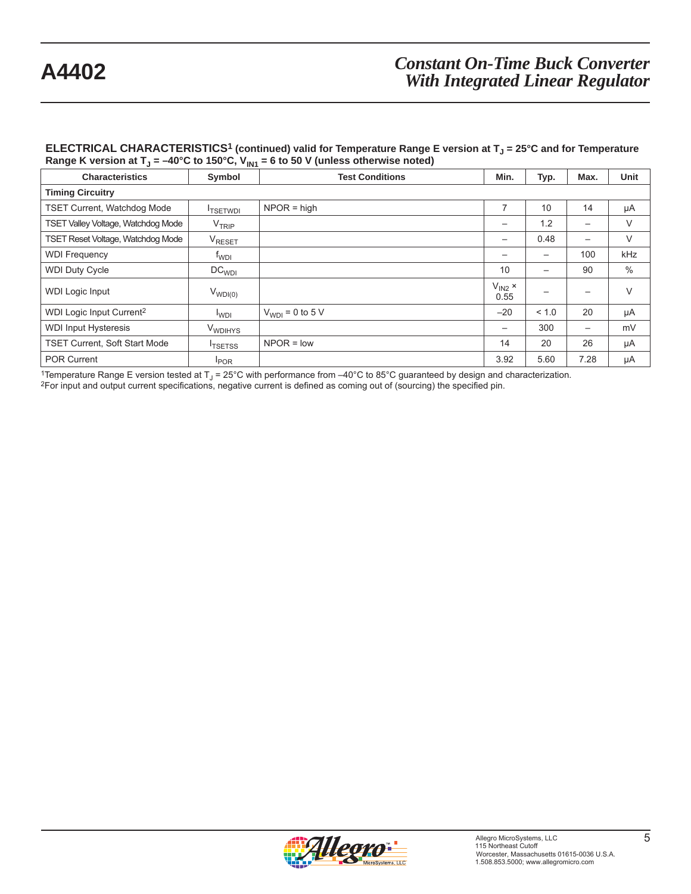#### **ELECTRICAL CHARACTERISTICS<sup>1</sup> (continued) valid for Temperature Range E version at T<sub>J</sub> = 25°C and for Temperature** Range K version at T<sub>J</sub> = –40°C to 150°C, V<sub>IN1</sub> = 6 to 50 V (unless otherwise noted)

| <b>Characteristics</b>               | Symbol              | <b>Test Conditions</b> | Min.                       | Typ.  | Max.                     | Unit |
|--------------------------------------|---------------------|------------------------|----------------------------|-------|--------------------------|------|
| <b>Timing Circuitry</b>              |                     |                        |                            |       |                          |      |
| <b>TSET Current, Watchdog Mode</b>   | <b>ITSETWDI</b>     | $NPOR = high$          |                            | 10    | 14                       | μA   |
| TSET Valley Voltage, Watchdog Mode   | V <sub>TRIP</sub>   |                        |                            | 1.2   | —                        | V    |
| TSET Reset Voltage, Watchdog Mode    | VRESET              |                        |                            | 0.48  |                          | V    |
| <b>WDI Frequency</b>                 | t <sub>WDI</sub>    |                        |                            | —     | 100                      | kHz  |
| <b>WDI Duty Cycle</b>                | DC <sub>WDI</sub>   |                        | 10                         | —     | 90                       | %    |
| <b>WDI Logic Input</b>               | $V_{WDI(0)}$        |                        | $V_{IN2}$ $\times$<br>0.55 |       |                          | V    |
| WDI Logic Input Current <sup>2</sup> | $I_{WDI}$           | $V_{WDI} = 0$ to 5 V   | $-20$                      | < 1.0 | 20                       | μA   |
| <b>WDI Input Hysteresis</b>          | V <sub>WDIHYS</sub> |                        | $\overline{\phantom{0}}$   | 300   | $\overline{\phantom{0}}$ | mV   |
| <b>TSET Current, Soft Start Mode</b> | <sup>I</sup> TSETSS | $NPOR = low$           | 14                         | 20    | 26                       | μA   |
| <b>POR Current</b>                   | <b>POR</b>          |                        | 3.92                       | 5.60  | 7.28                     | μA   |

<sup>1</sup>Temperature Range E version tested at  $T_J = 25^{\circ}$ C with performance from  $-40^{\circ}$ C to 85°C guaranteed by design and characterization.<br><sup>2</sup>For input and output current specifications, negative current is defined as com

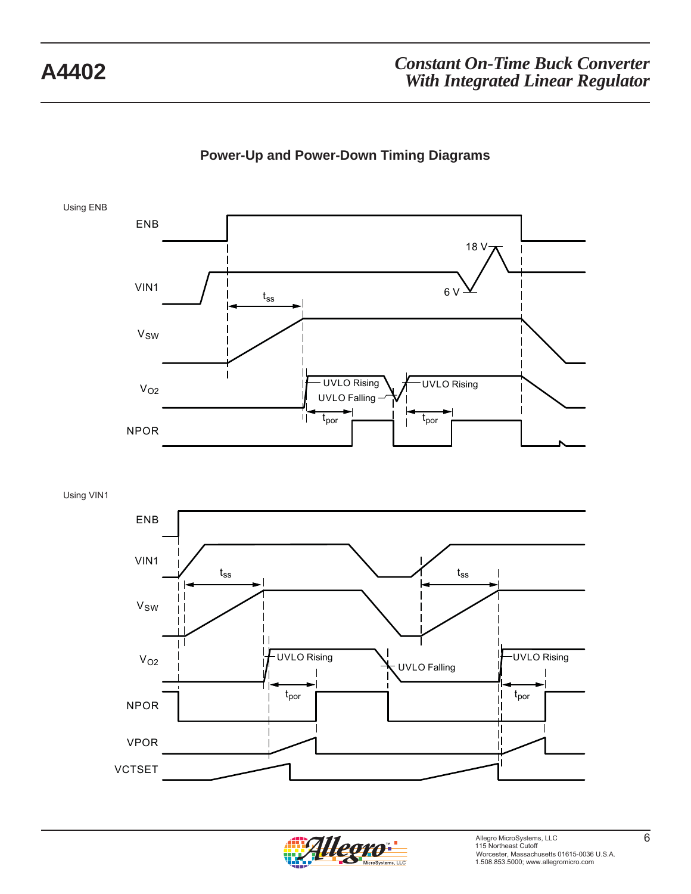



Using VIN1



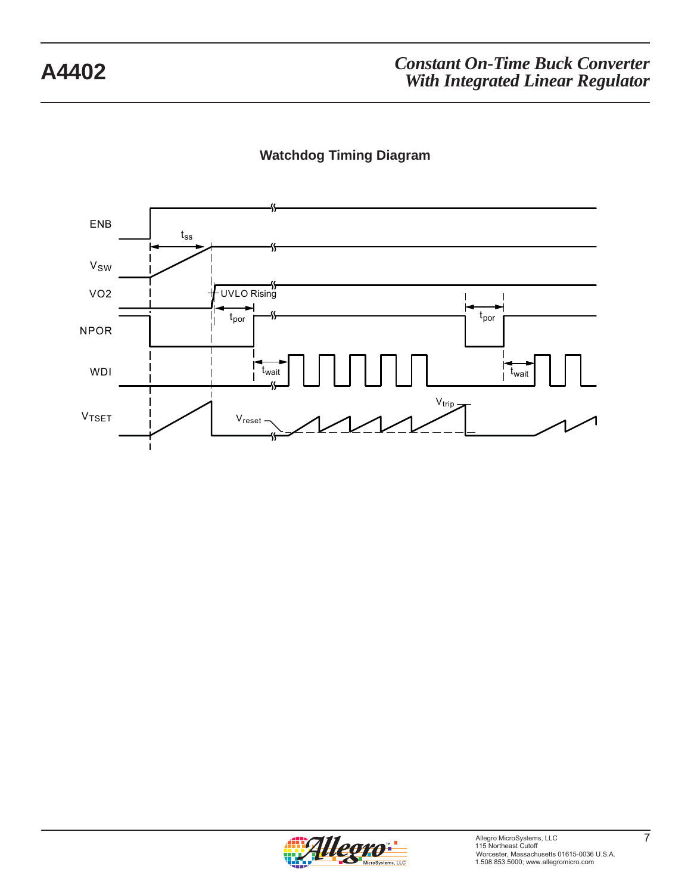# **Watchdog Timing Diagram**



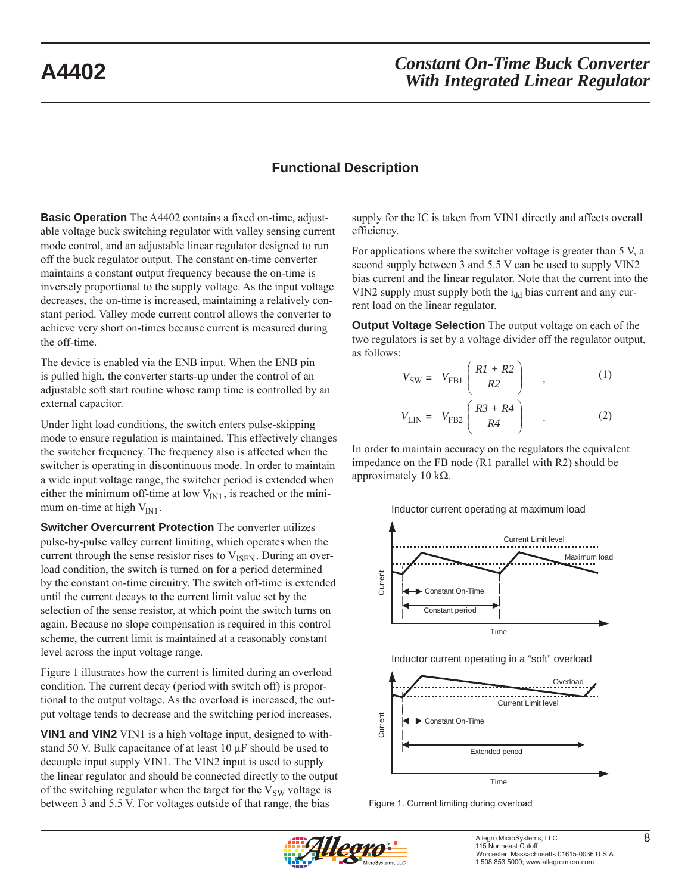### **Functional Description**

**Basic Operation** The A4402 contains a fixed on-time, adjustable voltage buck switching regulator with valley sensing current mode control, and an adjustable linear regulator designed to run off the buck regulator output. The constant on-time converter maintains a constant output frequency because the on-time is inversely proportional to the supply voltage. As the input voltage decreases, the on-time is increased, maintaining a relatively constant period. Valley mode current control allows the converter to achieve very short on-times because current is measured during the off-time.

The device is enabled via the ENB input. When the ENB pin is pulled high, the converter starts-up under the control of an adjustable soft start routine whose ramp time is controlled by an external capacitor.

Under light load conditions, the switch enters pulse-skipping mode to ensure regulation is maintained. This effectively changes the switcher frequency. The frequency also is affected when the switcher is operating in discontinuous mode. In order to maintain a wide input voltage range, the switcher period is extended when either the minimum off-time at low  $V_{\text{IN1}}$ , is reached or the minimum on-time at high  $V_{IN1}$ .

**Switcher Overcurrent Protection** The converter utilizes pulse-by-pulse valley current limiting, which operates when the current through the sense resistor rises to  $V_{\text{ISEN}}$ . During an overload condition, the switch is turned on for a period determined by the constant on-time circuitry. The switch off-time is extended until the current decays to the current limit value set by the selection of the sense resistor, at which point the switch turns on again. Because no slope compensation is required in this control scheme, the current limit is maintained at a reasonably constant level across the input voltage range.

Figure 1 illustrates how the current is limited during an overload condition. The current decay (period with switch off) is proportional to the output voltage. As the overload is increased, the output voltage tends to decrease and the switching period increases.

**VIN1 and VIN2** VIN1 is a high voltage input, designed to withstand 50 V. Bulk capacitance of at least 10 μF should be used to decouple input supply VIN1. The VIN2 input is used to supply the linear regulator and should be connected directly to the output of the switching regulator when the target for the  $V_{SW}$  voltage is between 3 and 5.5 V. For voltages outside of that range, the bias

supply for the IC is taken from VIN1 directly and affects overall efficiency.

For applications where the switcher voltage is greater than 5 V, a second supply between 3 and 5.5 V can be used to supply VIN2 bias current and the linear regulator. Note that the current into the VIN2 supply must supply both the  $i_{dd}$  bias current and any current load on the linear regulator.

**Output Voltage Selection** The output voltage on each of the two regulators is set by a voltage divider off the regulator output, as follows:

$$
V_{SW} = V_{FB1} \left( \frac{R1 + R2}{R2} \right) , \qquad (1)
$$
  

$$
V_{LIN} = V_{FB2} \left( \frac{R3 + R4}{R4} \right) . \qquad (2)
$$

In order to maintain accuracy on the regulators the equivalent impedance on the FB node (R1 parallel with R2) should be approximately 10 kΩ.

Inductor current operating at maximum load





Figure 1. Current limiting during overload

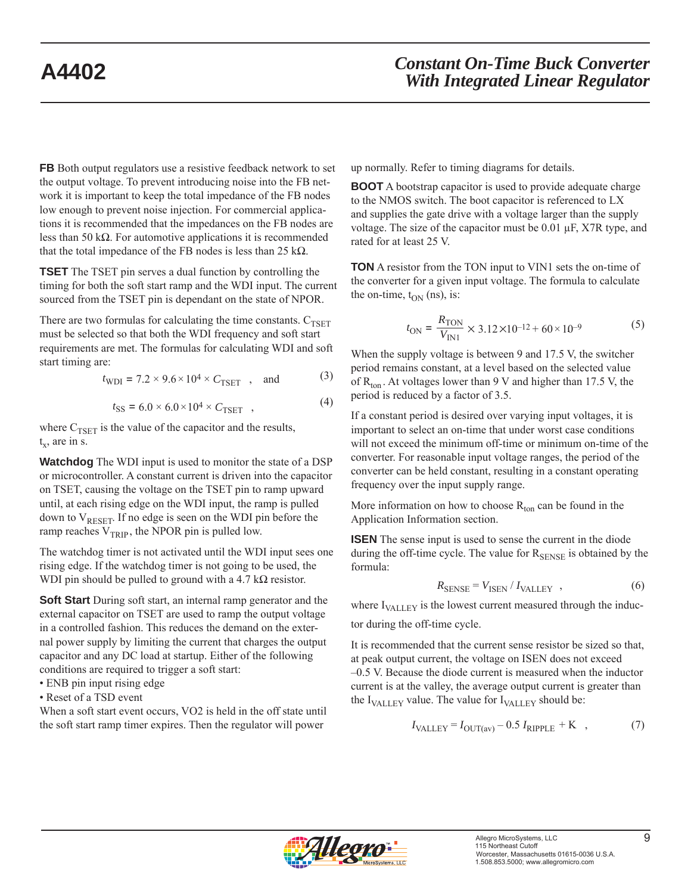**FB** Both output regulators use a resistive feedback network to set the output voltage. To prevent introducing noise into the FB network it is important to keep the total impedance of the FB nodes low enough to prevent noise injection. For commercial applications it is recommended that the impedances on the FB nodes are less than 50 kΩ. For automotive applications it is recommended that the total impedance of the FB nodes is less than 25 kΩ.

**TSET** The TSET pin serves a dual function by controlling the timing for both the soft start ramp and the WDI input. The current sourced from the TSET pin is dependant on the state of NPOR.

There are two formulas for calculating the time constants.  $C_{TSET}$ must be selected so that both the WDI frequency and soft start requirements are met. The formulas for calculating WDI and soft start timing are:

$$
t_{\text{WDI}} = 7.2 \times 9.6 \times 10^4 \times C_{\text{TSET}}
$$
, and (3)

$$
t_{\rm SS} = 6.0 \times 6.0 \times 10^4 \times C_{\rm TSET} \quad , \tag{4}
$$

where  $C_{TSET}$  is the value of the capacitor and the results,  $t_x$ , are in s.

**Watchdog** The WDI input is used to monitor the state of a DSP or microcontroller. A constant current is driven into the capacitor on TSET, causing the voltage on the TSET pin to ramp upward until, at each rising edge on the WDI input, the ramp is pulled down to  $V_{RESET}$ . If no edge is seen on the WDI pin before the ramp reaches  $V_{TRIP}$ , the NPOR pin is pulled low.

The watchdog timer is not activated until the WDI input sees one rising edge. If the watchdog timer is not going to be used, the WDI pin should be pulled to ground with a 4.7 k $\Omega$  resistor.

**Soft Start** During soft start, an internal ramp generator and the external capacitor on TSET are used to ramp the output voltage in a controlled fashion. This reduces the demand on the external power supply by limiting the current that charges the output capacitor and any DC load at startup. Either of the following conditions are required to trigger a soft start:

- ENB pin input rising edge
- Reset of a TSD event

When a soft start event occurs, VO2 is held in the off state until the soft start ramp timer expires. Then the regulator will power

up normally. Refer to timing diagrams for details.

**BOOT** A bootstrap capacitor is used to provide adequate charge to the NMOS switch. The boot capacitor is referenced to LX and supplies the gate drive with a voltage larger than the supply voltage. The size of the capacitor must be 0.01 μF, X7R type, and rated for at least 25 V.

**TON** A resistor from the TON input to VIN1 sets the on-time of the converter for a given input voltage. The formula to calculate the on-time,  $t_{ON}$  (ns), is:

$$
t_{\rm ON} = \frac{R_{\rm TON}}{V_{\rm IN1}} \times 3.12 \times 10^{-12} + 60 \times 10^{-9}
$$
 (5)

When the supply voltage is between 9 and 17.5 V, the switcher period remains constant, at a level based on the selected value of  $R_{\text{ton}}$ . At voltages lower than 9 V and higher than 17.5 V, the period is reduced by a factor of 3.5.

If a constant period is desired over varying input voltages, it is important to select an on-time that under worst case conditions will not exceed the minimum off-time or minimum on-time of the converter. For reasonable input voltage ranges, the period of the converter can be held constant, resulting in a constant operating frequency over the input supply range.

More information on how to choose  $R_{\text{ton}}$  can be found in the Application Information section.

**ISEN** The sense input is used to sense the current in the diode during the off-time cycle. The value for  $R_{\text{SENSE}}$  is obtained by the formula:

$$
R_{\text{SENSE}} = V_{\text{ISEN}} / I_{\text{VALLEY}} \quad , \tag{6}
$$

where  $I_{\text{VALLEY}}$  is the lowest current measured through the induc-

tor during the off-time cycle.

It is recommended that the current sense resistor be sized so that, at peak output current, the voltage on ISEN does not exceed –0.5 V. Because the diode current is measured when the inductor current is at the valley, the average output current is greater than the  $I_{\text{VALU}}$  value. The value for  $I_{\text{VALU}}$  should be:

$$
I_{\text{VALLEY}} = I_{\text{OUT(av)}} - 0.5 I_{\text{RIPPLE}} + \text{K} \quad , \tag{7}
$$

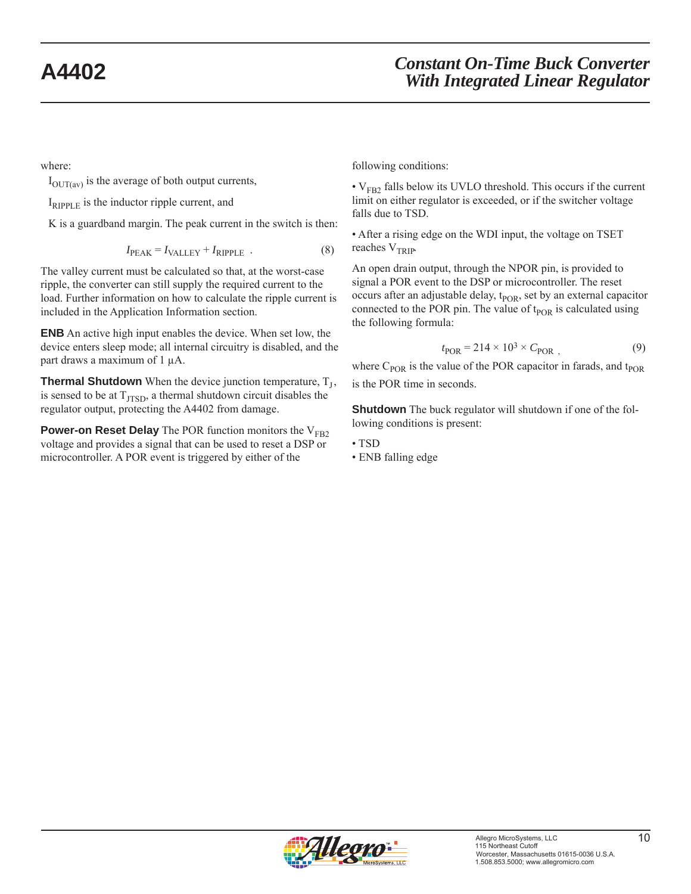where:

 $I_{\text{OUTCav}}$  is the average of both output currents,

 $I_{RIPPI,E}$  is the inductor ripple current, and

K is a guardband margin. The peak current in the switch is then:

$$
I_{\text{PEAK}} = I_{\text{VALLEY}} + I_{\text{RIPPLE}} \tag{8}
$$

The valley current must be calculated so that, at the worst-case ripple, the converter can still supply the required current to the load. Further information on how to calculate the ripple current is included in the Application Information section.

**ENB** An active high input enables the device. When set low, the device enters sleep mode; all internal circuitry is disabled, and the part draws a maximum of 1 μA.

**Thermal Shutdown** When the device junction temperature,  $T<sub>I</sub>$ , is sensed to be at  $T_{\text{ITSD}}$ , a thermal shutdown circuit disables the regulator output, protecting the A4402 from damage.

**Power-on Reset Delay** The POR function monitors the  $V_{FB2}$ voltage and provides a signal that can be used to reset a DSP or microcontroller. A POR event is triggered by either of the

following conditions:

 $\cdot$  V<sub>FB2</sub> falls below its UVLO threshold. This occurs if the current limit on either regulator is exceeded, or if the switcher voltage falls due to TSD.

• After a rising edge on the WDI input, the voltage on TSET reaches  $V_{TRIP}$ .

An open drain output, through the NPOR pin, is provided to signal a POR event to the DSP or microcontroller. The reset occurs after an adjustable delay, t<sub>POR</sub>, set by an external capacitor connected to the POR pin. The value of  $t_{POR}$  is calculated using the following formula:

$$
t_{\rm POR} = 214 \times 10^3 \times C_{\rm POR} \tag{9}
$$

where  $C_{POR}$  is the value of the POR capacitor in farads, and t<sub>POR</sub> is the POR time in seconds.

**Shutdown** The buck regulator will shutdown if one of the following conditions is present:

- TSD
- ENB falling edge

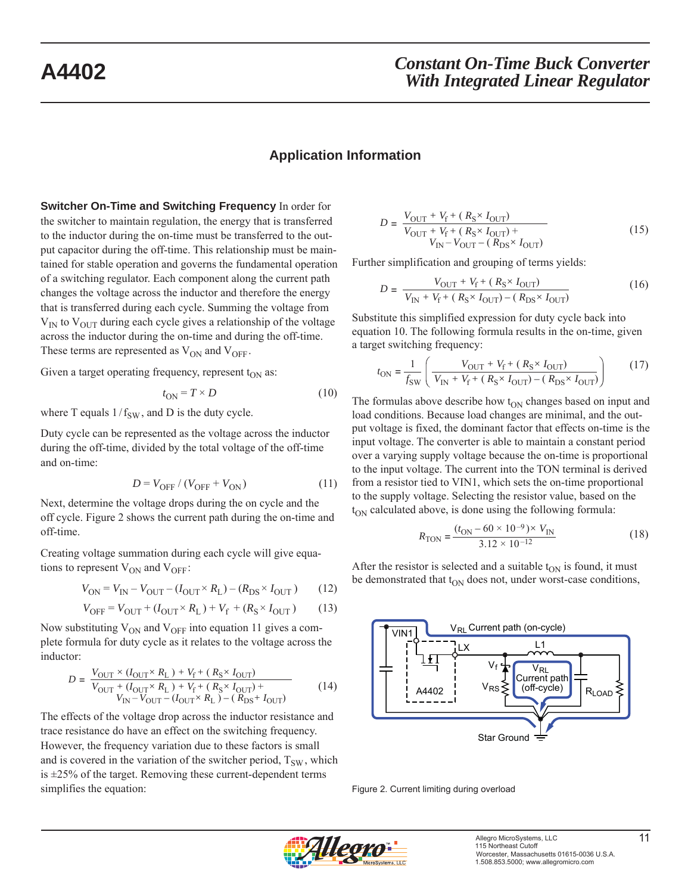### **Application Information**

**Switcher On-Time and Switching Frequency** In order for the switcher to maintain regulation, the energy that is transferred to the inductor during the on-time must be transferred to the output capacitor during the off-time. This relationship must be maintained for stable operation and governs the fundamental operation of a switching regulator. Each component along the current path changes the voltage across the inductor and therefore the energy that is transferred during each cycle. Summing the voltage from  $V_{IN}$  to  $V_{OUT}$  during each cycle gives a relationship of the voltage across the inductor during the on-time and during the off-time. These terms are represented as  $V_{ON}$  and  $V_{OFF}$ .

Given a target operating frequency, represent  $t_{ON}$  as:

$$
t_{\rm ON} = T \times D \tag{10}
$$

where T equals  $1/f_{SW}$ , and D is the duty cycle.

Duty cycle can be represented as the voltage across the inductor during the off-time, divided by the total voltage of the off-time and on-time:

$$
D = V_{\text{OFF}} / (V_{\text{OFF}} + V_{\text{ON}})
$$
 (11)

Next, determine the voltage drops during the on cycle and the off cycle. Figure 2 shows the current path during the on-time and off-time.

Creating voltage summation during each cycle will give equations to represent  $V_{ON}$  and  $V_{OFF}$ :

$$
V_{\text{ON}} = V_{\text{IN}} - V_{\text{OUT}} - (I_{\text{OUT}} \times R_{\text{L}}) - (R_{\text{DS}} \times I_{\text{OUT}}) \tag{12}
$$

$$
V_{\text{OFF}} = V_{\text{OUT}} + (I_{\text{OUT}} \times R_{\text{L}}) + V_{\text{f}} + (R_{\text{S}} \times I_{\text{OUT}}) \tag{13}
$$

Now substituting  $V_{ON}$  and  $V_{OFF}$  into equation 11 gives a complete formula for duty cycle as it relates to the voltage across the inductor:

$$
D = \frac{V_{\text{OUT}} \times (I_{\text{OUT}} \times R_{\text{L}}) + V_{\text{f}} + (R_{\text{S}} \times I_{\text{OUT}})}{V_{\text{OUT}} + (I_{\text{OUT}} \times R_{\text{L}}) + V_{\text{f}} + (R_{\text{S}} \times I_{\text{OUT}}) + V_{\text{IV}} - V_{\text{OUT}} - (I_{\text{OUT}} \times R_{\text{L}}) - (R_{\text{DS}} + I_{\text{OUT}})}\tag{14}
$$

The effects of the voltage drop across the inductor resistance and trace resistance do have an effect on the switching frequency. However, the frequency variation due to these factors is small and is covered in the variation of the switcher period,  $T_{SW}$ , which is  $\pm 25\%$  of the target. Removing these current-dependent terms simplifies the equation:

$$
D = \frac{V_{\text{OUT}} + V_{\text{f}} + (R_{\text{S}} \times I_{\text{OUT}})}{V_{\text{OUT}} + V_{\text{f}} + (R_{\text{S}} \times I_{\text{OUT}}) + V_{\text{IN}} - V_{\text{OUT}} - (R_{\text{DS}} \times I_{\text{OUT}})}\tag{15}
$$

Further simplification and grouping of terms yields:

$$
D = \frac{V_{\text{OUT}} + V_{\text{f}} + (R_{\text{S}} \times I_{\text{OUT}})}{V_{\text{IN}} + V_{\text{f}} + (R_{\text{S}} \times I_{\text{OUT}}) - (R_{\text{DS}} \times I_{\text{OUT}})}\tag{16}
$$

Substitute this simplified expression for duty cycle back into equation 10. The following formula results in the on-time, given a target switching frequency:

$$
t_{\rm ON} = \frac{1}{f_{\rm SW}} \left( \frac{V_{\rm OUT} + V_{\rm f} + (R_{\rm S} \times I_{\rm OUT})}{V_{\rm IN} + V_{\rm f} + (R_{\rm S} \times I_{\rm OUT}) - (R_{\rm DS} \times I_{\rm OUT})} \right) \tag{17}
$$

The formulas above describe how  $t_{ON}$  changes based on input and load conditions. Because load changes are minimal, and the output voltage is fixed, the dominant factor that effects on-time is the input voltage. The converter is able to maintain a constant period over a varying supply voltage because the on-time is proportional to the input voltage. The current into the TON terminal is derived from a resistor tied to VIN1, which sets the on-time proportional to the supply voltage. Selecting the resistor value, based on the  $t_{ON}$  calculated above, is done using the following formula:

$$
R_{\text{TON}} = \frac{(t_{\text{ON}} - 60 \times 10^{-9}) \times V_{\text{IN}}}{3.12 \times 10^{-12}}
$$
(18)

After the resistor is selected and a suitable  $t_{ON}$  is found, it must be demonstrated that  $t_{ON}$  does not, under worst-case conditions,



Figure 2. Current limiting during overload

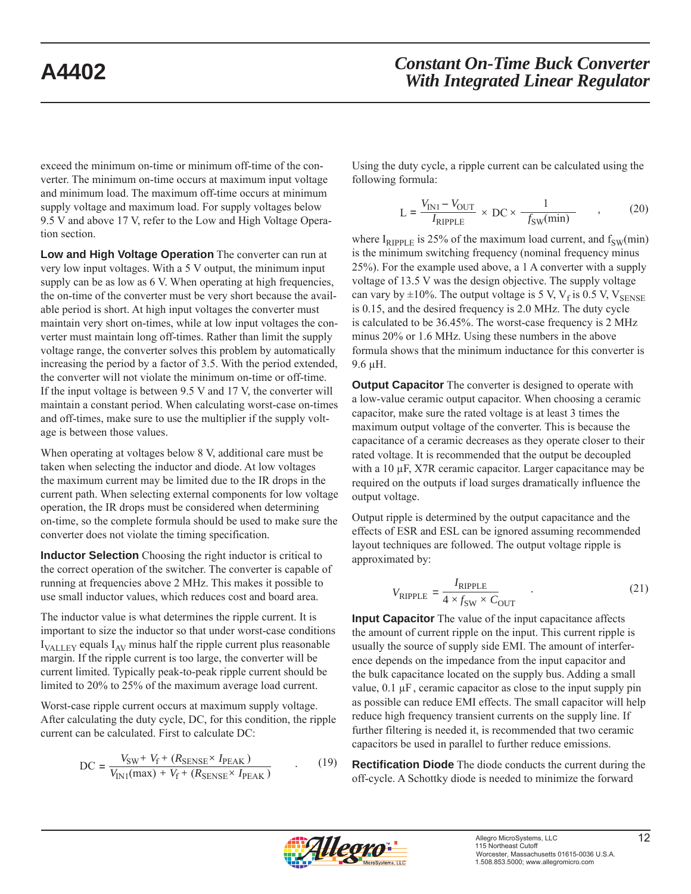exceed the minimum on-time or minimum off-time of the converter. The minimum on-time occurs at maximum input voltage and minimum load. The maximum off-time occurs at minimum supply voltage and maximum load. For supply voltages below 9.5 V and above 17 V, refer to the Low and High Voltage Operation section.

**Low and High Voltage Operation** The converter can run at very low input voltages. With a 5 V output, the minimum input supply can be as low as 6 V. When operating at high frequencies, the on-time of the converter must be very short because the available period is short. At high input voltages the converter must maintain very short on-times, while at low input voltages the converter must maintain long off-times. Rather than limit the supply voltage range, the converter solves this problem by automatically increasing the period by a factor of 3.5. With the period extended, the converter will not violate the minimum on-time or off-time. If the input voltage is between 9.5 V and 17 V, the converter will maintain a constant period. When calculating worst-case on-times and off-times, make sure to use the multiplier if the supply voltage is between those values.

When operating at voltages below 8 V, additional care must be taken when selecting the inductor and diode. At low voltages the maximum current may be limited due to the IR drops in the current path. When selecting external components for low voltage operation, the IR drops must be considered when determining on-time, so the complete formula should be used to make sure the converter does not violate the timing specification.

**Inductor Selection** Choosing the right inductor is critical to the correct operation of the switcher. The converter is capable of running at frequencies above 2 MHz. This makes it possible to use small inductor values, which reduces cost and board area.

The inductor value is what determines the ripple current. It is important to size the inductor so that under worst-case conditions  $I_{\text{VALU}}$  equals  $I_{\text{AV}}$  minus half the ripple current plus reasonable margin. If the ripple current is too large, the converter will be current limited. Typically peak-to-peak ripple current should be limited to 20% to 25% of the maximum average load current.

Worst-case ripple current occurs at maximum supply voltage. After calculating the duty cycle, DC, for this condition, the ripple current can be calculated. First to calculate DC:

$$
DC = \frac{V_{SW} + V_f + (R_{\text{SENSE}} \times I_{\text{PEAK}})}{V_{\text{IN1}}(\text{max}) + V_f + (R_{\text{SENSE}} \times I_{\text{PEAK}})} \tag{19}
$$

Using the duty cycle, a ripple current can be calculated using the following formula:

$$
L = \frac{V_{\text{IN1}} - V_{\text{OUT}}}{I_{\text{RIPPLE}}} \times \text{DC} \times \frac{1}{f_{\text{SW}}(\text{min})} \tag{20}
$$

where  $I_{RIPPLE}$  is 25% of the maximum load current, and  $f_{SW}(min)$ is the minimum switching frequency (nominal frequency minus 25%). For the example used above, a 1 A converter with a supply voltage of 13.5 V was the design objective. The supply voltage can vary by  $\pm 10\%$ . The output voltage is 5 V, V<sub>f</sub> is 0.5 V, V<sub>SENSE</sub> is 0.15, and the desired frequency is 2.0 MHz. The duty cycle is calculated to be 36.45%. The worst-case frequency is 2 MHz minus 20% or 1.6 MHz. Using these numbers in the above formula shows that the minimum inductance for this converter is 9.6 μH.

**Output Capacitor** The converter is designed to operate with a low-value ceramic output capacitor. When choosing a ceramic capacitor, make sure the rated voltage is at least 3 times the maximum output voltage of the converter. This is because the capacitance of a ceramic decreases as they operate closer to their rated voltage. It is recommended that the output be decoupled with a 10 μF, X7R ceramic capacitor. Larger capacitance may be required on the outputs if load surges dramatically influence the output voltage.

Output ripple is determined by the output capacitance and the effects of ESR and ESL can be ignored assuming recommended layout techniques are followed. The output voltage ripple is approximated by:

$$
V_{\text{RIPPLE}} = \frac{I_{\text{RIPPLE}}}{4 \times f_{\text{SW}} \times C_{\text{OUT}}}
$$
 (21)

**Input Capacitor** The value of the input capacitance affects the amount of current ripple on the input. This current ripple is usually the source of supply side EMI. The amount of interference depends on the impedance from the input capacitor and the bulk capacitance located on the supply bus. Adding a small value,  $0.1 \mu$ F, ceramic capacitor as close to the input supply pin as possible can reduce EMI effects. The small capacitor will help reduce high frequency transient currents on the supply line. If further filtering is needed it, is recommended that two ceramic capacitors be used in parallel to further reduce emissions.

**Rectification Diode** The diode conducts the current during the off-cycle. A Schottky diode is needed to minimize the forward

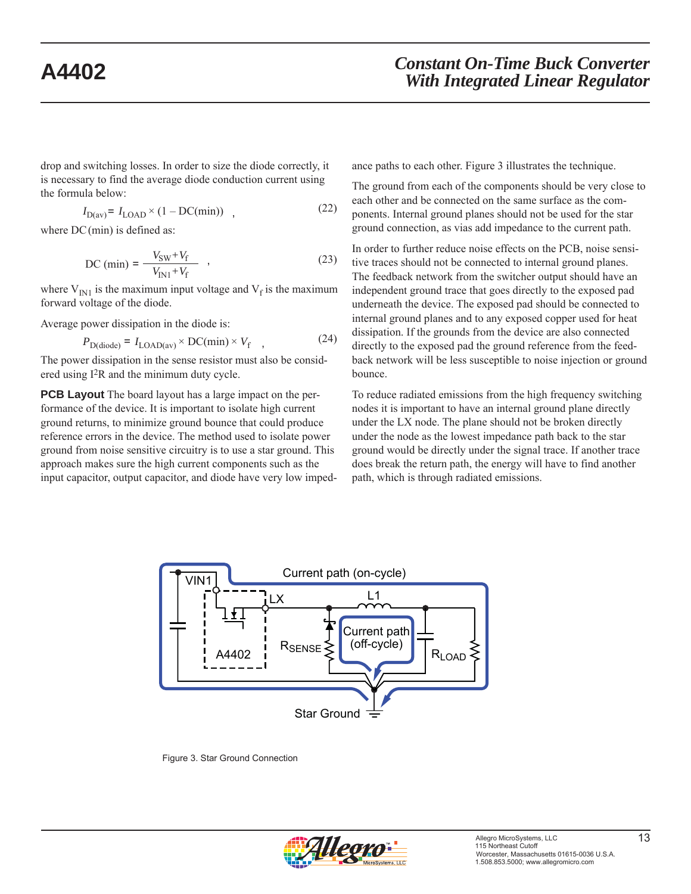drop and switching losses. In order to size the diode correctly, it is necessary to find the average diode conduction current using the formula below:

$$
I_{D(av)} = I_{LOAD} \times (1 - DC(min)) \quad , \tag{22}
$$

where  $DC$  (min) is defined as:

DC (min) = 
$$
\frac{V_{SW} + V_f}{V_{IN1} + V_f}
$$
, (23)

where  $V_{\text{IN1}}$  is the maximum input voltage and  $V_f$  is the maximum forward voltage of the diode.

Average power dissipation in the diode is:

$$
P_{D(\text{diode})} = I_{\text{LOAD(av)}} \times \text{DC(min)} \times V_{\text{f}} \quad , \tag{24}
$$

The power dissipation in the sense resistor must also be considered using I2R and the minimum duty cycle.

**PCB Layout** The board layout has a large impact on the performance of the device. It is important to isolate high current ground returns, to minimize ground bounce that could produce reference errors in the device. The method used to isolate power ground from noise sensitive circuitry is to use a star ground. This approach makes sure the high current components such as the input capacitor, output capacitor, and diode have very low impedance paths to each other. Figure 3 illustrates the technique.

The ground from each of the components should be very close to each other and be connected on the same surface as the components. Internal ground planes should not be used for the star ground connection, as vias add impedance to the current path.

In order to further reduce noise effects on the PCB, noise sensitive traces should not be connected to internal ground planes. The feedback network from the switcher output should have an independent ground trace that goes directly to the exposed pad underneath the device. The exposed pad should be connected to internal ground planes and to any exposed copper used for heat dissipation. If the grounds from the device are also connected directly to the exposed pad the ground reference from the feedback network will be less susceptible to noise injection or ground bounce.

To reduce radiated emissions from the high frequency switching nodes it is important to have an internal ground plane directly under the LX node. The plane should not be broken directly under the node as the lowest impedance path back to the star ground would be directly under the signal trace. If another trace does break the return path, the energy will have to find another path, which is through radiated emissions.



Figure 3. Star Ground Connection

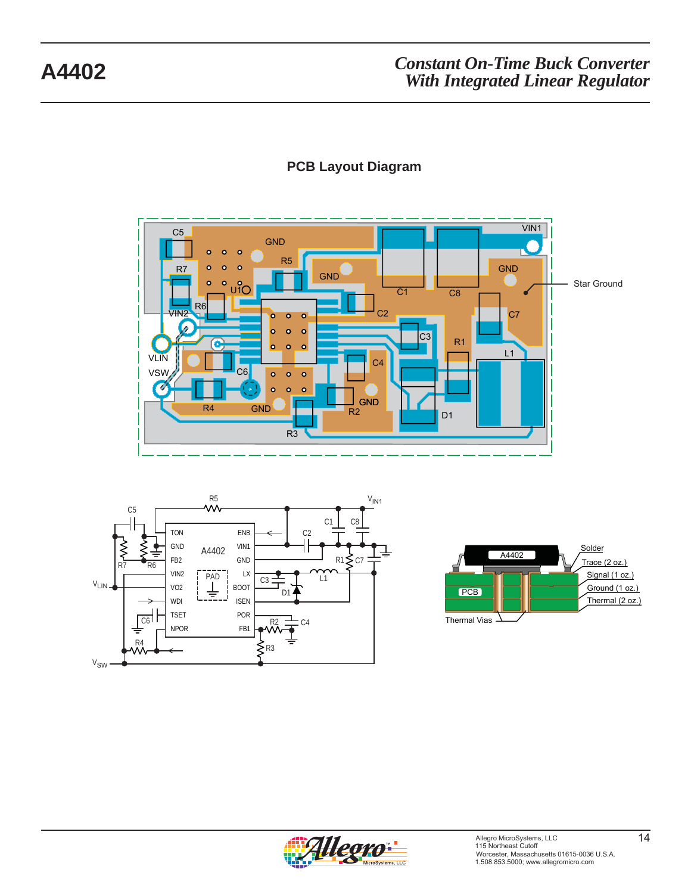

## **PCB Layout Diagram**





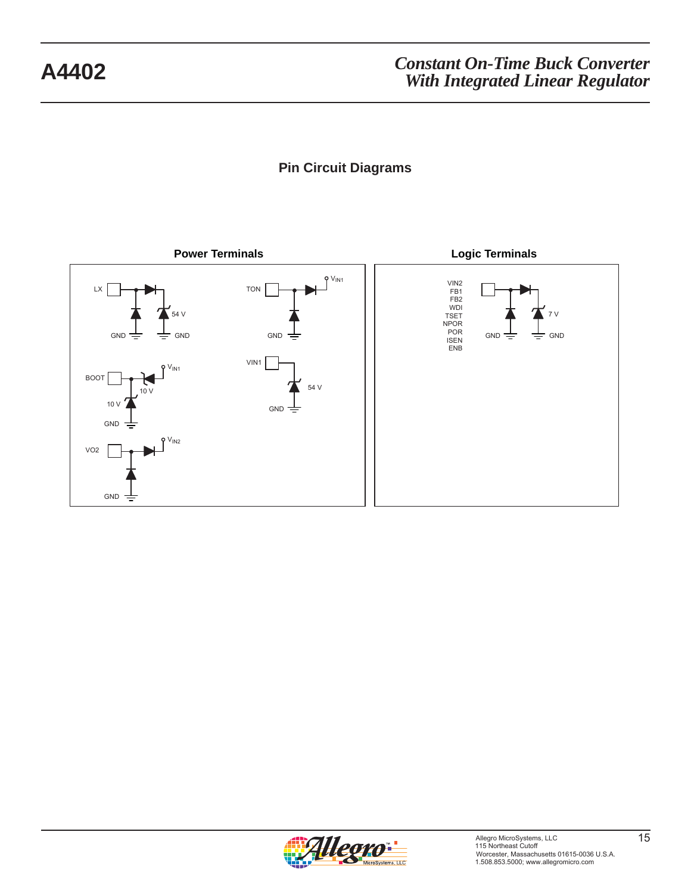# **Pin Circuit Diagrams**



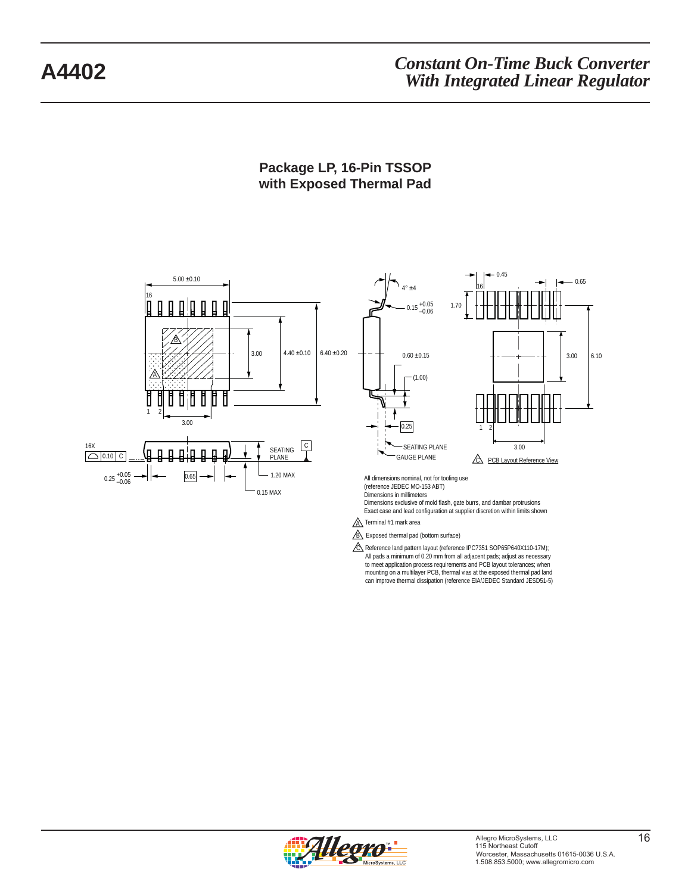### **Package LP, 16-Pin TSSOP with Exposed Thermal Pad**